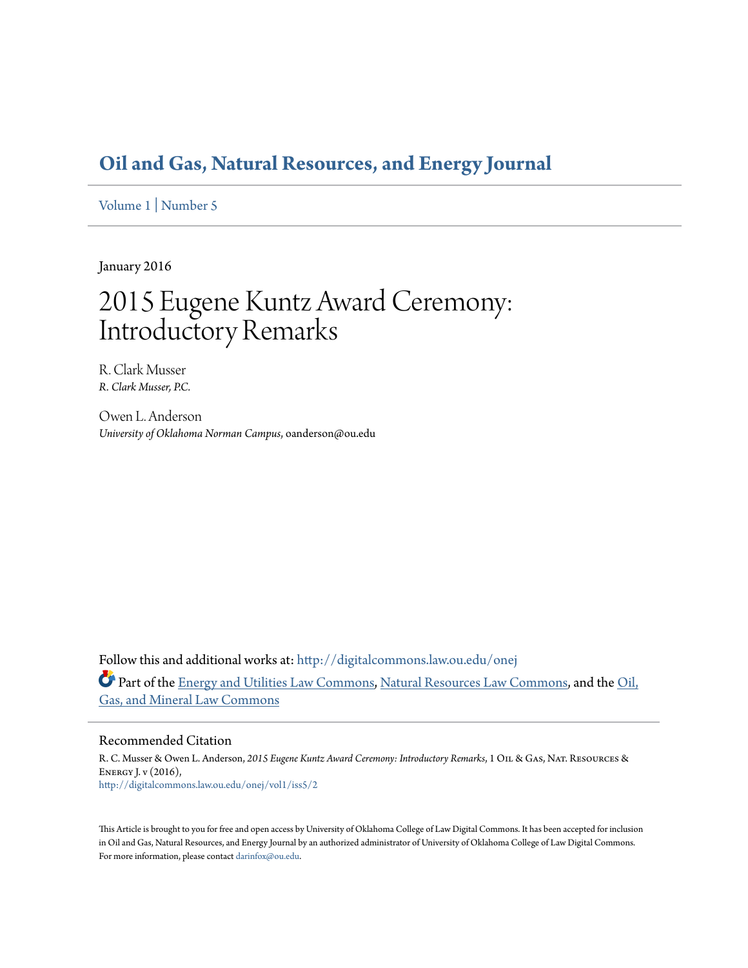## **[Oil and Gas, Natural Resources, and Energy Journal](http://digitalcommons.law.ou.edu/onej?utm_source=digitalcommons.law.ou.edu%2Fonej%2Fvol1%2Fiss5%2F2&utm_medium=PDF&utm_campaign=PDFCoverPages)**

[Volume 1](http://digitalcommons.law.ou.edu/onej/vol1?utm_source=digitalcommons.law.ou.edu%2Fonej%2Fvol1%2Fiss5%2F2&utm_medium=PDF&utm_campaign=PDFCoverPages) | [Number 5](http://digitalcommons.law.ou.edu/onej/vol1/iss5?utm_source=digitalcommons.law.ou.edu%2Fonej%2Fvol1%2Fiss5%2F2&utm_medium=PDF&utm_campaign=PDFCoverPages)

January 2016

# 2015 Eugene Kuntz Award Ceremony: Introductory Remarks

R. Clark Musser *R. Clark Musser, P.C.*

Owen L. Anderson *University of Oklahoma Norman Campus*, oanderson@ou.edu

Follow this and additional works at: [http://digitalcommons.law.ou.edu/onej](http://digitalcommons.law.ou.edu/onej?utm_source=digitalcommons.law.ou.edu%2Fonej%2Fvol1%2Fiss5%2F2&utm_medium=PDF&utm_campaign=PDFCoverPages) Part of the [Energy and Utilities Law Commons,](http://network.bepress.com/hgg/discipline/891?utm_source=digitalcommons.law.ou.edu%2Fonej%2Fvol1%2Fiss5%2F2&utm_medium=PDF&utm_campaign=PDFCoverPages) [Natural Resources Law Commons,](http://network.bepress.com/hgg/discipline/863?utm_source=digitalcommons.law.ou.edu%2Fonej%2Fvol1%2Fiss5%2F2&utm_medium=PDF&utm_campaign=PDFCoverPages) and the [Oil,](http://network.bepress.com/hgg/discipline/864?utm_source=digitalcommons.law.ou.edu%2Fonej%2Fvol1%2Fiss5%2F2&utm_medium=PDF&utm_campaign=PDFCoverPages) [Gas, and Mineral Law Commons](http://network.bepress.com/hgg/discipline/864?utm_source=digitalcommons.law.ou.edu%2Fonej%2Fvol1%2Fiss5%2F2&utm_medium=PDF&utm_campaign=PDFCoverPages)

#### Recommended Citation

R. C. Musser & Owen L. Anderson, *2015 Eugene Kuntz Award Ceremony: Introductory Remarks*, 1 Oil & Gas, Nat. Resources & Energy J. v (2016), [http://digitalcommons.law.ou.edu/onej/vol1/iss5/2](http://digitalcommons.law.ou.edu/onej/vol1/iss5/2?utm_source=digitalcommons.law.ou.edu%2Fonej%2Fvol1%2Fiss5%2F2&utm_medium=PDF&utm_campaign=PDFCoverPages)

This Article is brought to you for free and open access by University of Oklahoma College of Law Digital Commons. It has been accepted for inclusion in Oil and Gas, Natural Resources, and Energy Journal by an authorized administrator of University of Oklahoma College of Law Digital Commons. For more information, please contact [darinfox@ou.edu](mailto:darinfox@ou.edu).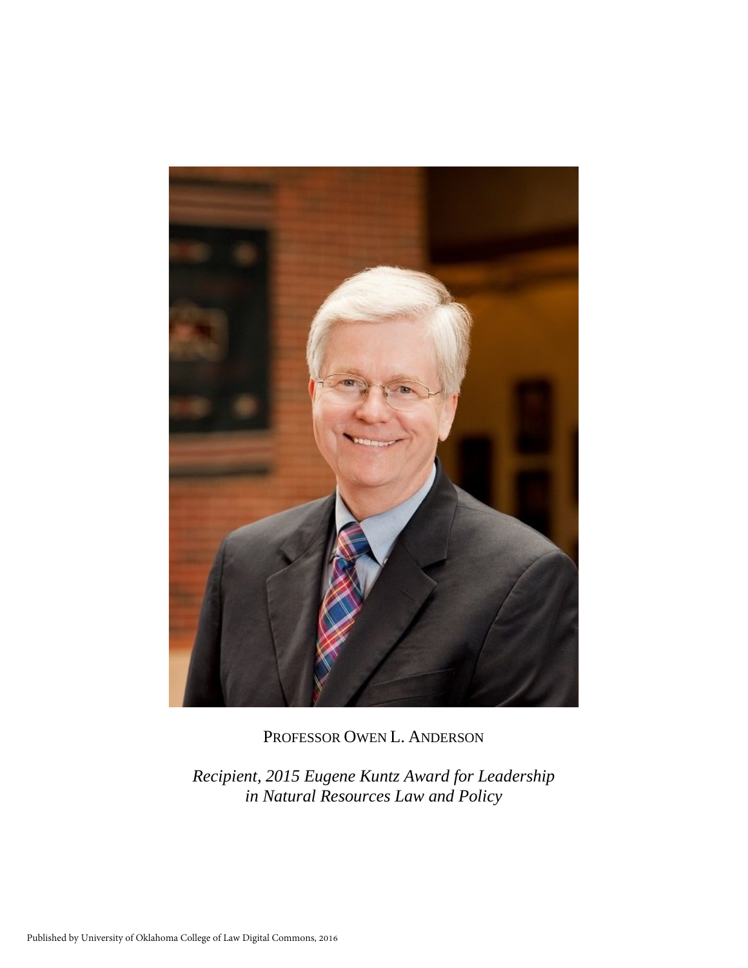

PROFESSOR OWEN L. ANDERSON

*Recipient, 2015 Eugene Kuntz Award for Leadership in Natural Resources Law and Policy*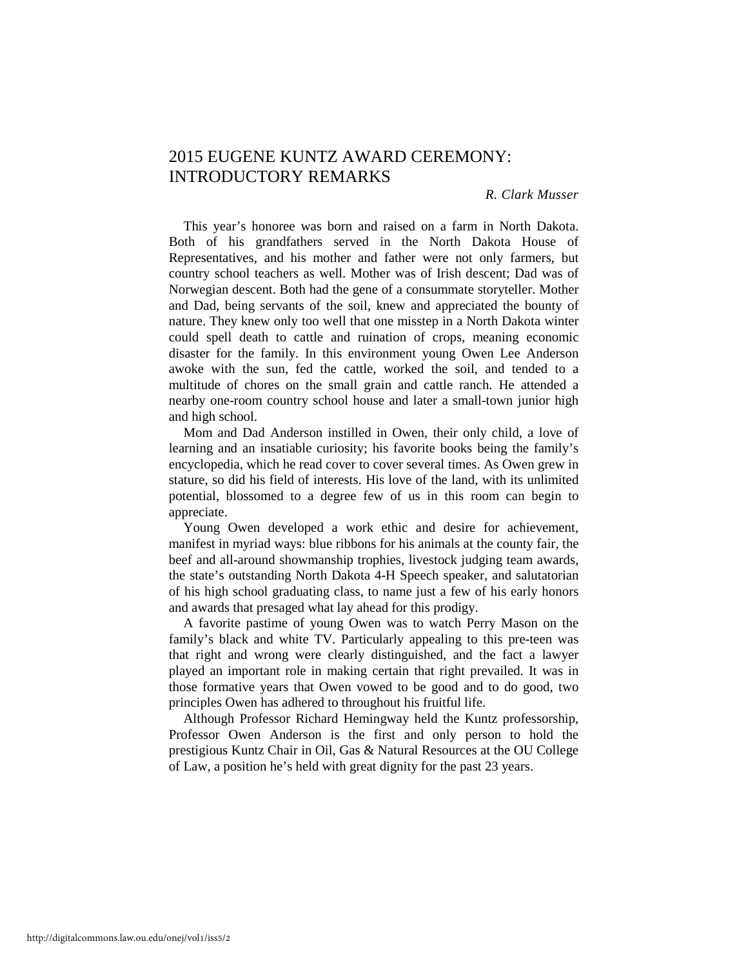## 2015 EUGENE KUNTZ AWARD CEREMONY: INTRODUCTORY REMARKS

#### *R. Clark Musser*

This year's honoree was born and raised on a farm in North Dakota. Both of his grandfathers served in the North Dakota House of Representatives, and his mother and father were not only farmers, but country school teachers as well. Mother was of Irish descent; Dad was of Norwegian descent. Both had the gene of a consummate storyteller. Mother and Dad, being servants of the soil, knew and appreciated the bounty of nature. They knew only too well that one misstep in a North Dakota winter could spell death to cattle and ruination of crops, meaning economic disaster for the family. In this environment young Owen Lee Anderson awoke with the sun, fed the cattle, worked the soil, and tended to a multitude of chores on the small grain and cattle ranch. He attended a nearby one-room country school house and later a small-town junior high and high school.

Mom and Dad Anderson instilled in Owen, their only child, a love of learning and an insatiable curiosity; his favorite books being the family's encyclopedia, which he read cover to cover several times. As Owen grew in stature, so did his field of interests. His love of the land, with its unlimited potential, blossomed to a degree few of us in this room can begin to appreciate.

Young Owen developed a work ethic and desire for achievement, manifest in myriad ways: blue ribbons for his animals at the county fair, the beef and all-around showmanship trophies, livestock judging team awards, the state's outstanding North Dakota 4-H Speech speaker, and salutatorian of his high school graduating class, to name just a few of his early honors and awards that presaged what lay ahead for this prodigy.

A favorite pastime of young Owen was to watch Perry Mason on the family's black and white TV. Particularly appealing to this pre-teen was that right and wrong were clearly distinguished, and the fact a lawyer played an important role in making certain that right prevailed. It was in those formative years that Owen vowed to be good and to do good, two principles Owen has adhered to throughout his fruitful life.

Although Professor Richard Hemingway held the Kuntz professorship, Professor Owen Anderson is the first and only person to hold the prestigious Kuntz Chair in Oil, Gas & Natural Resources at the OU College of Law, a position he's held with great dignity for the past 23 years.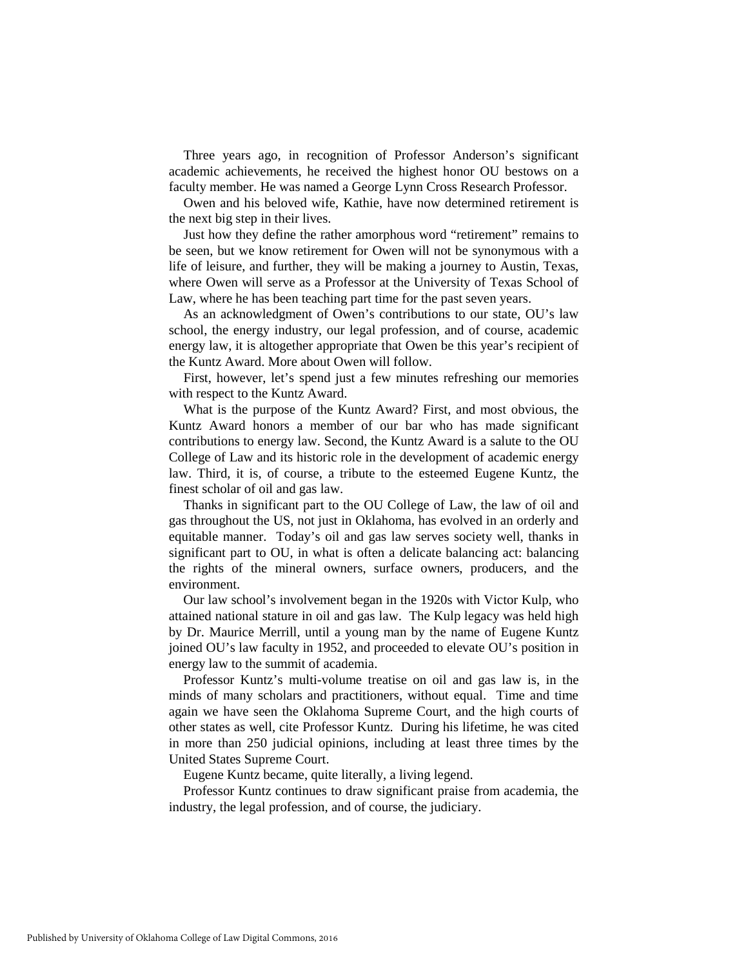Three years ago, in recognition of Professor Anderson's significant academic achievements, he received the highest honor OU bestows on a faculty member. He was named a George Lynn Cross Research Professor.

Owen and his beloved wife, Kathie, have now determined retirement is the next big step in their lives.

Just how they define the rather amorphous word "retirement" remains to be seen, but we know retirement for Owen will not be synonymous with a life of leisure, and further, they will be making a journey to Austin, Texas, where Owen will serve as a Professor at the University of Texas School of Law, where he has been teaching part time for the past seven years.

As an acknowledgment of Owen's contributions to our state, OU's law school, the energy industry, our legal profession, and of course, academic energy law, it is altogether appropriate that Owen be this year's recipient of the Kuntz Award. More about Owen will follow.

First, however, let's spend just a few minutes refreshing our memories with respect to the Kuntz Award.

What is the purpose of the Kuntz Award? First, and most obvious, the Kuntz Award honors a member of our bar who has made significant contributions to energy law. Second, the Kuntz Award is a salute to the OU College of Law and its historic role in the development of academic energy law. Third, it is, of course, a tribute to the esteemed Eugene Kuntz, the finest scholar of oil and gas law.

Thanks in significant part to the OU College of Law, the law of oil and gas throughout the US, not just in Oklahoma, has evolved in an orderly and equitable manner. Today's oil and gas law serves society well, thanks in significant part to OU, in what is often a delicate balancing act: balancing the rights of the mineral owners, surface owners, producers, and the environment.

Our law school's involvement began in the 1920s with Victor Kulp, who attained national stature in oil and gas law. The Kulp legacy was held high by Dr. Maurice Merrill, until a young man by the name of Eugene Kuntz joined OU's law faculty in 1952, and proceeded to elevate OU's position in energy law to the summit of academia.

Professor Kuntz's multi-volume treatise on oil and gas law is, in the minds of many scholars and practitioners, without equal. Time and time again we have seen the Oklahoma Supreme Court, and the high courts of other states as well, cite Professor Kuntz. During his lifetime, he was cited in more than 250 judicial opinions, including at least three times by the United States Supreme Court.

Eugene Kuntz became, quite literally, a living legend.

Professor Kuntz continues to draw significant praise from academia, the industry, the legal profession, and of course, the judiciary.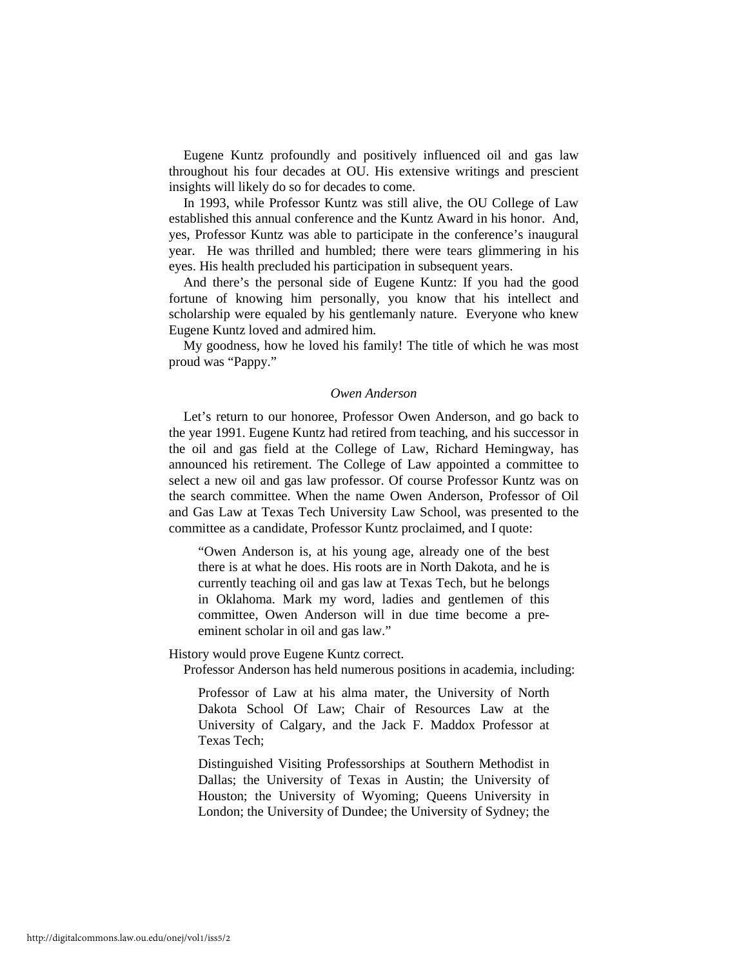Eugene Kuntz profoundly and positively influenced oil and gas law throughout his four decades at OU. His extensive writings and prescient insights will likely do so for decades to come.

In 1993, while Professor Kuntz was still alive, the OU College of Law established this annual conference and the Kuntz Award in his honor. And, yes, Professor Kuntz was able to participate in the conference's inaugural year. He was thrilled and humbled; there were tears glimmering in his eyes. His health precluded his participation in subsequent years.

And there's the personal side of Eugene Kuntz: If you had the good fortune of knowing him personally, you know that his intellect and scholarship were equaled by his gentlemanly nature. Everyone who knew Eugene Kuntz loved and admired him.

My goodness, how he loved his family! The title of which he was most proud was "Pappy."

#### *Owen Anderson*

Let's return to our honoree, Professor Owen Anderson, and go back to the year 1991. Eugene Kuntz had retired from teaching, and his successor in the oil and gas field at the College of Law, Richard Hemingway, has announced his retirement. The College of Law appointed a committee to select a new oil and gas law professor. Of course Professor Kuntz was on the search committee. When the name Owen Anderson, Professor of Oil and Gas Law at Texas Tech University Law School, was presented to the committee as a candidate, Professor Kuntz proclaimed, and I quote:

"Owen Anderson is, at his young age, already one of the best there is at what he does. His roots are in North Dakota, and he is currently teaching oil and gas law at Texas Tech, but he belongs in Oklahoma. Mark my word, ladies and gentlemen of this committee, Owen Anderson will in due time become a preeminent scholar in oil and gas law."

#### History would prove Eugene Kuntz correct.

Professor Anderson has held numerous positions in academia, including:

Professor of Law at his alma mater, the University of North Dakota School Of Law; Chair of Resources Law at the University of Calgary, and the Jack F. Maddox Professor at Texas Tech;

Distinguished Visiting Professorships at Southern Methodist in Dallas; the University of Texas in Austin; the University of Houston; the University of Wyoming; Queens University in London; the University of Dundee; the University of Sydney; the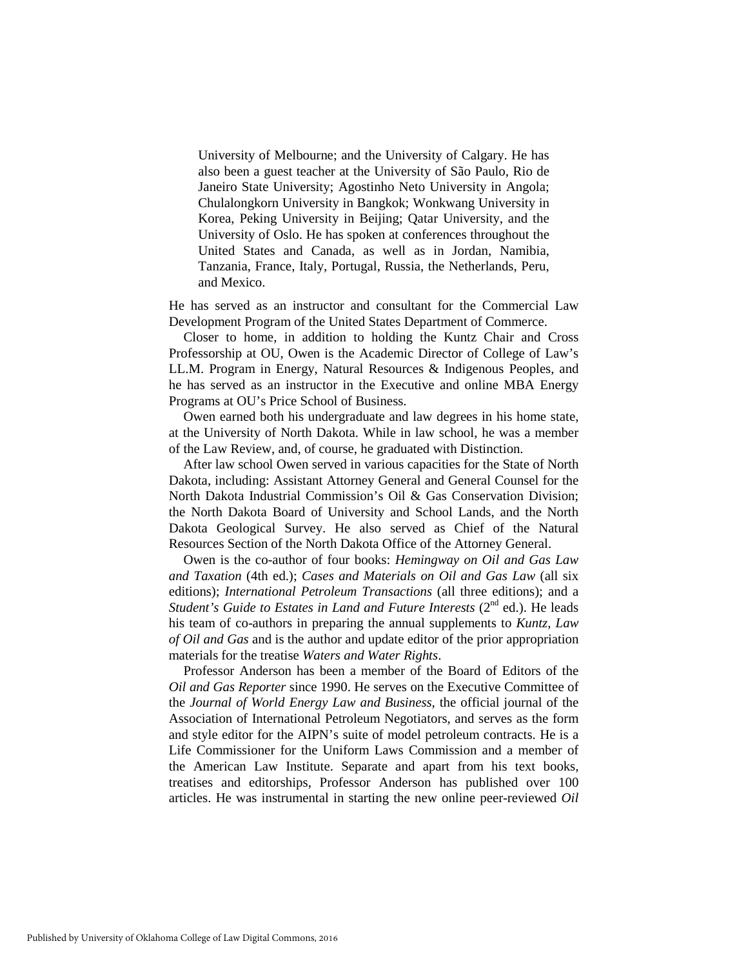University of Melbourne; and the University of Calgary. He has also been a guest teacher at the University of São Paulo, Rio de Janeiro State University; Agostinho Neto University in Angola; Chulalongkorn University in Bangkok; Wonkwang University in Korea, Peking University in Beijing; Qatar University, and the University of Oslo. He has spoken at conferences throughout the United States and Canada, as well as in Jordan, Namibia, Tanzania, France, Italy, Portugal, Russia, the Netherlands, Peru, and Mexico.

He has served as an instructor and consultant for the Commercial Law Development Program of the United States Department of Commerce.

Closer to home, in addition to holding the Kuntz Chair and Cross Professorship at OU, Owen is the Academic Director of College of Law's LL.M. Program in Energy, Natural Resources & Indigenous Peoples, and he has served as an instructor in the Executive and online MBA Energy Programs at OU's Price School of Business.

Owen earned both his undergraduate and law degrees in his home state, at the University of North Dakota. While in law school, he was a member of the Law Review, and, of course, he graduated with Distinction.

After law school Owen served in various capacities for the State of North Dakota, including: Assistant Attorney General and General Counsel for the North Dakota Industrial Commission's Oil & Gas Conservation Division; the North Dakota Board of University and School Lands, and the North Dakota Geological Survey. He also served as Chief of the Natural Resources Section of the North Dakota Office of the Attorney General.

Owen is the co-author of four books: *Hemingway on Oil and Gas Law and Taxation* (4th ed.); *Cases and Materials on Oil and Gas Law* (all six editions); *International Petroleum Transactions* (all three editions); and a *Student's Guide to Estates in Land and Future Interests* (2<sup>nd</sup> ed.). He leads his team of co-authors in preparing the annual supplements to *Kuntz, Law of Oil and Gas* and is the author and update editor of the prior appropriation materials for the treatise *Waters and Water Rights*.

Professor Anderson has been a member of the Board of Editors of the *Oil and Gas Reporter* since 1990. He serves on the Executive Committee of the *Journal of World Energy Law and Business*, the official journal of the Association of International Petroleum Negotiators, and serves as the form and style editor for the AIPN's suite of model petroleum contracts. He is a Life Commissioner for the Uniform Laws Commission and a member of the American Law Institute. Separate and apart from his text books, treatises and editorships, Professor Anderson has published over 100 articles. He was instrumental in starting the new online peer-reviewed *Oil*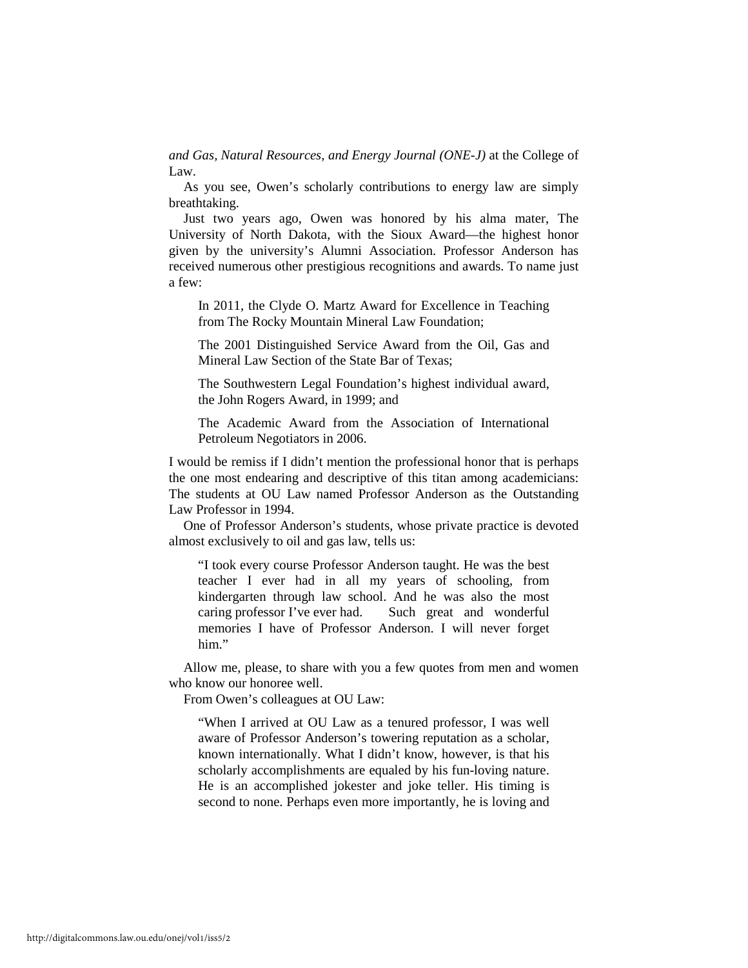*and Gas, Natural Resources, and Energy Journal (ONE-J)* at the College of Law.

As you see, Owen's scholarly contributions to energy law are simply breathtaking.

Just two years ago, Owen was honored by his alma mater, The University of North Dakota, with the Sioux Award—the highest honor given by the university's Alumni Association. Professor Anderson has received numerous other prestigious recognitions and awards. To name just a few:

In 2011, the Clyde O. Martz Award for Excellence in Teaching from The Rocky Mountain Mineral Law Foundation;

The 2001 Distinguished Service Award from the Oil, Gas and Mineral Law Section of the State Bar of Texas;

The Southwestern Legal Foundation's highest individual award, the John Rogers Award, in 1999; and

The Academic Award from the Association of International Petroleum Negotiators in 2006.

I would be remiss if I didn't mention the professional honor that is perhaps the one most endearing and descriptive of this titan among academicians: The students at OU Law named Professor Anderson as the Outstanding Law Professor in 1994.

One of Professor Anderson's students, whose private practice is devoted almost exclusively to oil and gas law, tells us:

"I took every course Professor Anderson taught. He was the best teacher I ever had in all my years of schooling, from kindergarten through law school. And he was also the most caring professor I've ever had. Such great and wonderful memories I have of Professor Anderson. I will never forget him."

Allow me, please, to share with you a few quotes from men and women who know our honoree well.

From Owen's colleagues at OU Law:

"When I arrived at OU Law as a tenured professor, I was well aware of Professor Anderson's towering reputation as a scholar, known internationally. What I didn't know, however, is that his scholarly accomplishments are equaled by his fun-loving nature. He is an accomplished jokester and joke teller. His timing is second to none. Perhaps even more importantly, he is loving and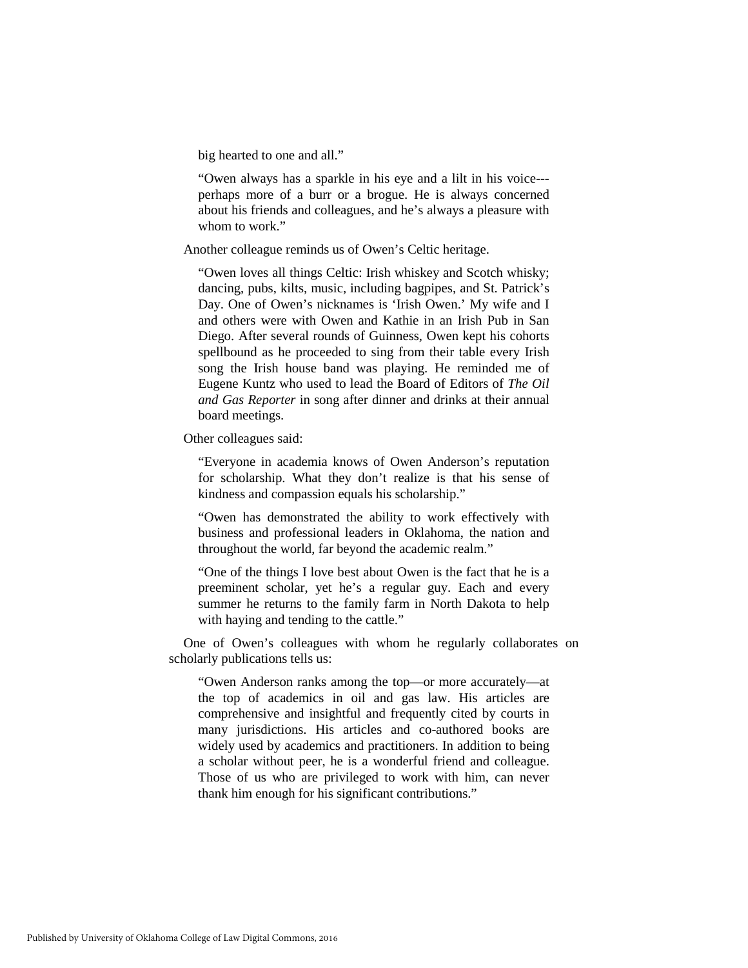big hearted to one and all."

"Owen always has a sparkle in his eye and a lilt in his voice-- perhaps more of a burr or a brogue. He is always concerned about his friends and colleagues, and he's always a pleasure with whom to work."

Another colleague reminds us of Owen's Celtic heritage.

"Owen loves all things Celtic: Irish whiskey and Scotch whisky; dancing, pubs, kilts, music, including bagpipes, and St. Patrick's Day. One of Owen's nicknames is 'Irish Owen.' My wife and I and others were with Owen and Kathie in an Irish Pub in San Diego. After several rounds of Guinness, Owen kept his cohorts spellbound as he proceeded to sing from their table every Irish song the Irish house band was playing. He reminded me of Eugene Kuntz who used to lead the Board of Editors of *The Oil and Gas Reporter* in song after dinner and drinks at their annual board meetings.

Other colleagues said:

"Everyone in academia knows of Owen Anderson's reputation for scholarship. What they don't realize is that his sense of kindness and compassion equals his scholarship."

"Owen has demonstrated the ability to work effectively with business and professional leaders in Oklahoma, the nation and throughout the world, far beyond the academic realm."

"One of the things I love best about Owen is the fact that he is a preeminent scholar, yet he's a regular guy. Each and every summer he returns to the family farm in North Dakota to help with haying and tending to the cattle."

One of Owen's colleagues with whom he regularly collaborates on scholarly publications tells us:

"Owen Anderson ranks among the top—or more accurately—at the top of academics in oil and gas law. His articles are comprehensive and insightful and frequently cited by courts in many jurisdictions. His articles and co-authored books are widely used by academics and practitioners. In addition to being a scholar without peer, he is a wonderful friend and colleague. Those of us who are privileged to work with him, can never thank him enough for his significant contributions."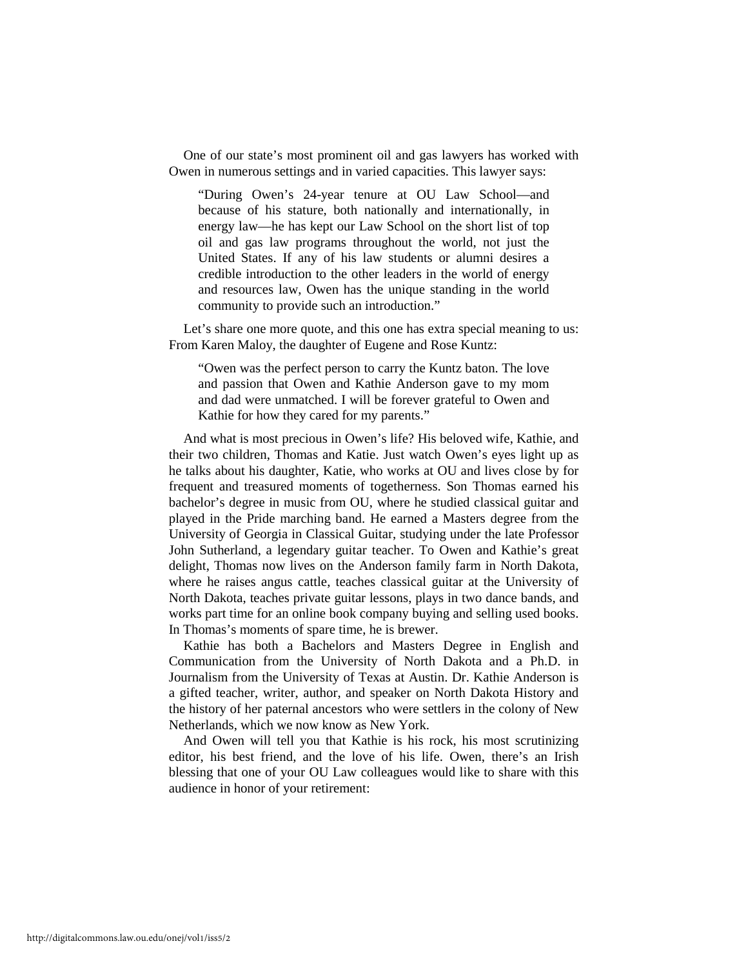One of our state's most prominent oil and gas lawyers has worked with Owen in numerous settings and in varied capacities. This lawyer says:

"During Owen's 24-year tenure at OU Law School—and because of his stature, both nationally and internationally, in energy law—he has kept our Law School on the short list of top oil and gas law programs throughout the world, not just the United States. If any of his law students or alumni desires a credible introduction to the other leaders in the world of energy and resources law, Owen has the unique standing in the world community to provide such an introduction."

Let's share one more quote, and this one has extra special meaning to us: From Karen Maloy, the daughter of Eugene and Rose Kuntz:

"Owen was the perfect person to carry the Kuntz baton. The love and passion that Owen and Kathie Anderson gave to my mom and dad were unmatched. I will be forever grateful to Owen and Kathie for how they cared for my parents."

And what is most precious in Owen's life? His beloved wife, Kathie, and their two children, Thomas and Katie. Just watch Owen's eyes light up as he talks about his daughter, Katie, who works at OU and lives close by for frequent and treasured moments of togetherness. Son Thomas earned his bachelor's degree in music from OU, where he studied classical guitar and played in the Pride marching band. He earned a Masters degree from the University of Georgia in Classical Guitar, studying under the late Professor John Sutherland, a legendary guitar teacher. To Owen and Kathie's great delight, Thomas now lives on the Anderson family farm in North Dakota, where he raises angus cattle, teaches classical guitar at the University of North Dakota, teaches private guitar lessons, plays in two dance bands, and works part time for an online book company buying and selling used books. In Thomas's moments of spare time, he is brewer.

Kathie has both a Bachelors and Masters Degree in English and Communication from the University of North Dakota and a Ph.D. in Journalism from the University of Texas at Austin. Dr. Kathie Anderson is a gifted teacher, writer, author, and speaker on North Dakota History and the history of her paternal ancestors who were settlers in the colony of New Netherlands, which we now know as New York.

And Owen will tell you that Kathie is his rock, his most scrutinizing editor, his best friend, and the love of his life. Owen, there's an Irish blessing that one of your OU Law colleagues would like to share with this audience in honor of your retirement: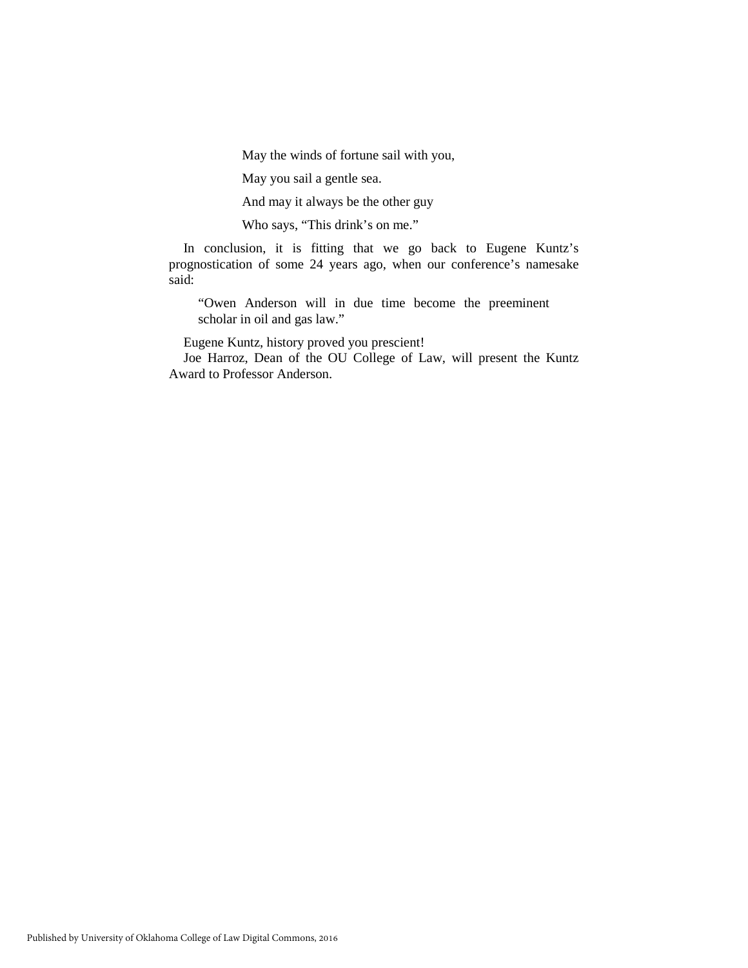May the winds of fortune sail with you,

May you sail a gentle sea.

And may it always be the other guy

Who says, "This drink's on me."

In conclusion, it is fitting that we go back to Eugene Kuntz's prognostication of some 24 years ago, when our conference's namesake said:

"Owen Anderson will in due time become the preeminent scholar in oil and gas law."

Eugene Kuntz, history proved you prescient!

Joe Harroz, Dean of the OU College of Law, will present the Kuntz Award to Professor Anderson.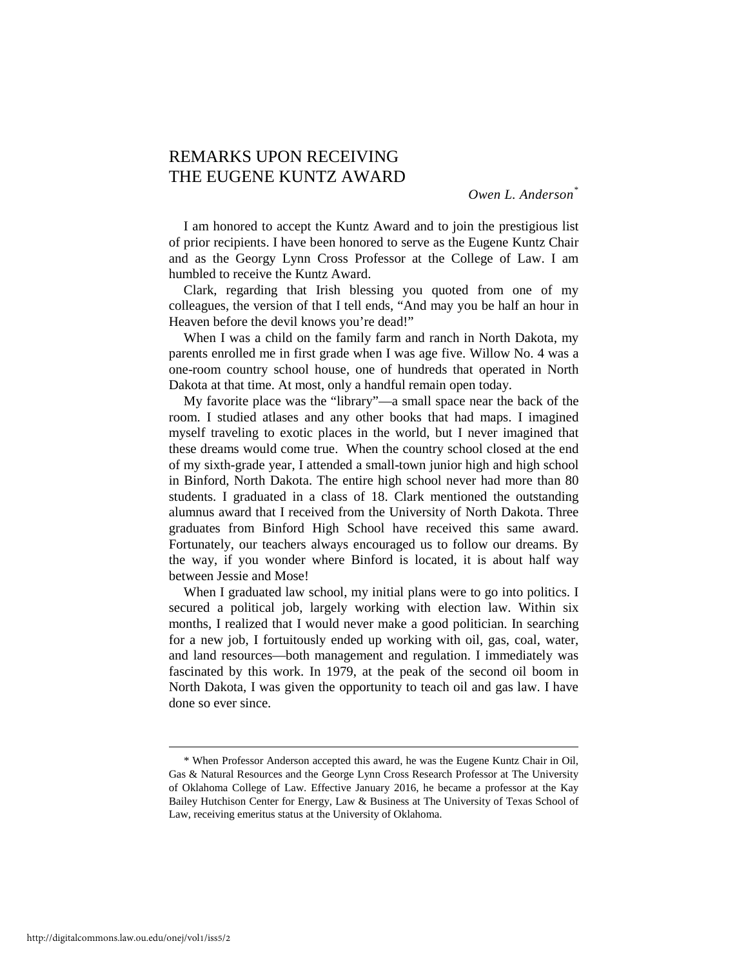### REMARKS UPON RECEIVING THE EUGENE KUNTZ AWARD

*Owen L. Anderson*\*

I am honored to accept the Kuntz Award and to join the prestigious list of prior recipients. I have been honored to serve as the Eugene Kuntz Chair and as the Georgy Lynn Cross Professor at the College of Law. I am humbled to receive the Kuntz Award.

Clark, regarding that Irish blessing you quoted from one of my colleagues, the version of that I tell ends, "And may you be half an hour in Heaven before the devil knows you're dead!"

When I was a child on the family farm and ranch in North Dakota, my parents enrolled me in first grade when I was age five. Willow No. 4 was a one-room country school house, one of hundreds that operated in North Dakota at that time. At most, only a handful remain open today.

My favorite place was the "library"—a small space near the back of the room. I studied atlases and any other books that had maps. I imagined myself traveling to exotic places in the world, but I never imagined that these dreams would come true. When the country school closed at the end of my sixth-grade year, I attended a small-town junior high and high school in Binford, North Dakota. The entire high school never had more than 80 students. I graduated in a class of 18. Clark mentioned the outstanding alumnus award that I received from the University of North Dakota. Three graduates from Binford High School have received this same award. Fortunately, our teachers always encouraged us to follow our dreams. By the way, if you wonder where Binford is located, it is about half way between Jessie and Mose!

When I graduated law school, my initial plans were to go into politics. I secured a political job, largely working with election law. Within six months, I realized that I would never make a good politician. In searching for a new job, I fortuitously ended up working with oil, gas, coal, water, and land resources—both management and regulation. I immediately was fascinated by this work. In 1979, at the peak of the second oil boom in North Dakota, I was given the opportunity to teach oil and gas law. I have done so ever since.

 <sup>\*</sup> When Professor Anderson accepted this award, he was the Eugene Kuntz Chair in Oil, Gas & Natural Resources and the George Lynn Cross Research Professor at The University of Oklahoma College of Law. Effective January 2016, he became a professor at the Kay Bailey Hutchison Center for Energy, Law & Business at The University of Texas School of Law, receiving emeritus status at the University of Oklahoma.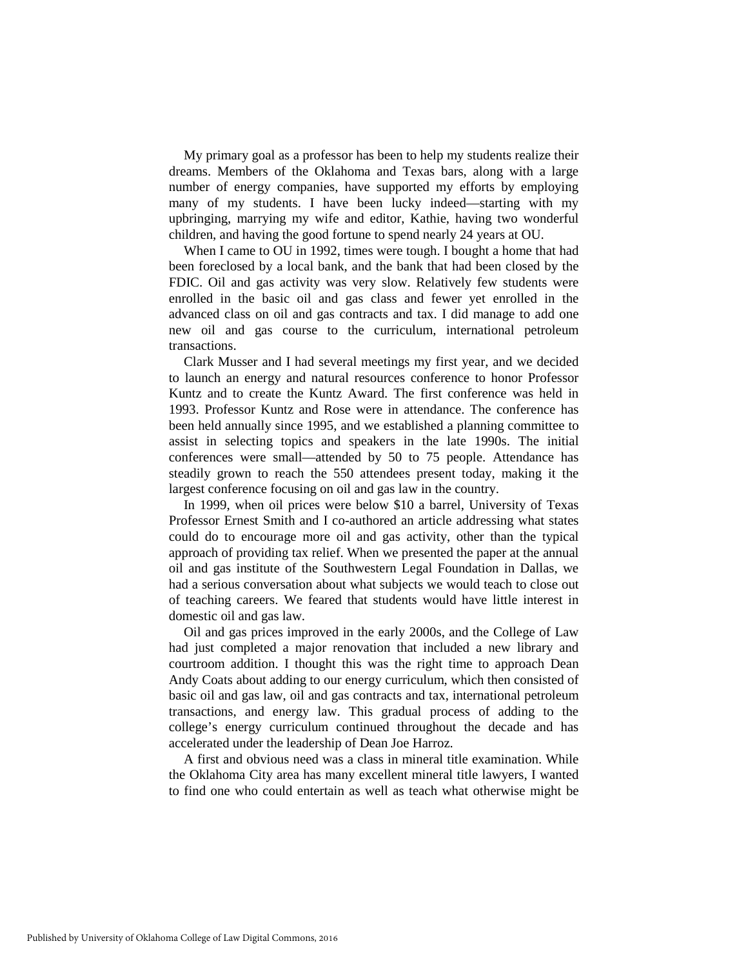My primary goal as a professor has been to help my students realize their dreams. Members of the Oklahoma and Texas bars, along with a large number of energy companies, have supported my efforts by employing many of my students. I have been lucky indeed—starting with my upbringing, marrying my wife and editor, Kathie, having two wonderful children, and having the good fortune to spend nearly 24 years at OU.

When I came to OU in 1992, times were tough. I bought a home that had been foreclosed by a local bank, and the bank that had been closed by the FDIC. Oil and gas activity was very slow. Relatively few students were enrolled in the basic oil and gas class and fewer yet enrolled in the advanced class on oil and gas contracts and tax. I did manage to add one new oil and gas course to the curriculum, international petroleum transactions.

Clark Musser and I had several meetings my first year, and we decided to launch an energy and natural resources conference to honor Professor Kuntz and to create the Kuntz Award. The first conference was held in 1993. Professor Kuntz and Rose were in attendance. The conference has been held annually since 1995, and we established a planning committee to assist in selecting topics and speakers in the late 1990s. The initial conferences were small—attended by 50 to 75 people. Attendance has steadily grown to reach the 550 attendees present today, making it the largest conference focusing on oil and gas law in the country.

In 1999, when oil prices were below \$10 a barrel, University of Texas Professor Ernest Smith and I co-authored an article addressing what states could do to encourage more oil and gas activity, other than the typical approach of providing tax relief. When we presented the paper at the annual oil and gas institute of the Southwestern Legal Foundation in Dallas, we had a serious conversation about what subjects we would teach to close out of teaching careers. We feared that students would have little interest in domestic oil and gas law.

Oil and gas prices improved in the early 2000s, and the College of Law had just completed a major renovation that included a new library and courtroom addition. I thought this was the right time to approach Dean Andy Coats about adding to our energy curriculum, which then consisted of basic oil and gas law, oil and gas contracts and tax, international petroleum transactions, and energy law. This gradual process of adding to the college's energy curriculum continued throughout the decade and has accelerated under the leadership of Dean Joe Harroz.

A first and obvious need was a class in mineral title examination. While the Oklahoma City area has many excellent mineral title lawyers, I wanted to find one who could entertain as well as teach what otherwise might be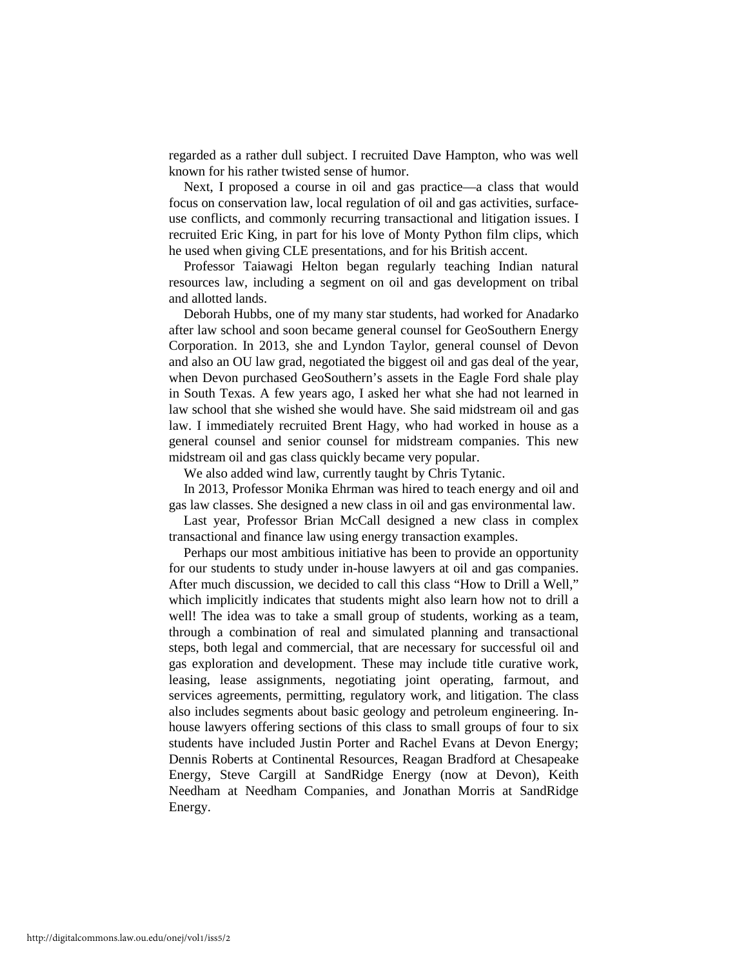regarded as a rather dull subject. I recruited Dave Hampton, who was well known for his rather twisted sense of humor.

Next, I proposed a course in oil and gas practice—a class that would focus on conservation law, local regulation of oil and gas activities, surfaceuse conflicts, and commonly recurring transactional and litigation issues. I recruited Eric King, in part for his love of Monty Python film clips, which he used when giving CLE presentations, and for his British accent.

Professor Taiawagi Helton began regularly teaching Indian natural resources law, including a segment on oil and gas development on tribal and allotted lands.

Deborah Hubbs, one of my many star students, had worked for Anadarko after law school and soon became general counsel for GeoSouthern Energy Corporation. In 2013, she and Lyndon Taylor, general counsel of Devon and also an OU law grad, negotiated the biggest oil and gas deal of the year, when Devon purchased GeoSouthern's assets in the Eagle Ford shale play in South Texas. A few years ago, I asked her what she had not learned in law school that she wished she would have. She said midstream oil and gas law. I immediately recruited Brent Hagy, who had worked in house as a general counsel and senior counsel for midstream companies. This new midstream oil and gas class quickly became very popular.

We also added wind law, currently taught by Chris Tytanic.

In 2013, Professor Monika Ehrman was hired to teach energy and oil and gas law classes. She designed a new class in oil and gas environmental law.

Last year, Professor Brian McCall designed a new class in complex transactional and finance law using energy transaction examples.

Perhaps our most ambitious initiative has been to provide an opportunity for our students to study under in-house lawyers at oil and gas companies. After much discussion, we decided to call this class "How to Drill a Well," which implicitly indicates that students might also learn how not to drill a well! The idea was to take a small group of students, working as a team, through a combination of real and simulated planning and transactional steps, both legal and commercial, that are necessary for successful oil and gas exploration and development. These may include title curative work, leasing, lease assignments, negotiating joint operating, farmout, and services agreements, permitting, regulatory work, and litigation. The class also includes segments about basic geology and petroleum engineering. Inhouse lawyers offering sections of this class to small groups of four to six students have included Justin Porter and Rachel Evans at Devon Energy; Dennis Roberts at Continental Resources, Reagan Bradford at Chesapeake Energy, Steve Cargill at SandRidge Energy (now at Devon), Keith Needham at Needham Companies, and Jonathan Morris at SandRidge Energy.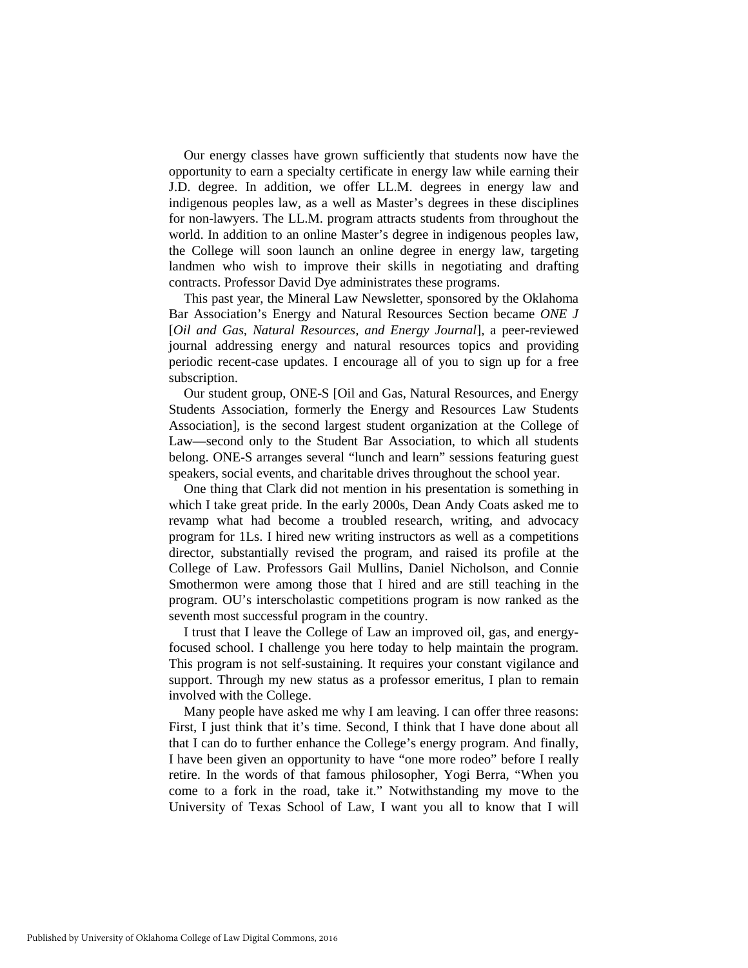Our energy classes have grown sufficiently that students now have the opportunity to earn a specialty certificate in energy law while earning their J.D. degree. In addition, we offer LL.M. degrees in energy law and indigenous peoples law, as a well as Master's degrees in these disciplines for non-lawyers. The LL.M. program attracts students from throughout the world. In addition to an online Master's degree in indigenous peoples law, the College will soon launch an online degree in energy law, targeting landmen who wish to improve their skills in negotiating and drafting contracts. Professor David Dye administrates these programs.

This past year, the Mineral Law Newsletter, sponsored by the Oklahoma Bar Association's Energy and Natural Resources Section became *ONE J* [*Oil and Gas, Natural Resources, and Energy Journal*], a peer-reviewed journal addressing energy and natural resources topics and providing periodic recent-case updates. I encourage all of you to sign up for a free subscription.

Our student group, ONE-S [Oil and Gas, Natural Resources, and Energy Students Association, formerly the Energy and Resources Law Students Association], is the second largest student organization at the College of Law—second only to the Student Bar Association, to which all students belong. ONE-S arranges several "lunch and learn" sessions featuring guest speakers, social events, and charitable drives throughout the school year.

One thing that Clark did not mention in his presentation is something in which I take great pride. In the early 2000s, Dean Andy Coats asked me to revamp what had become a troubled research, writing, and advocacy program for 1Ls. I hired new writing instructors as well as a competitions director, substantially revised the program, and raised its profile at the College of Law. Professors Gail Mullins, Daniel Nicholson, and Connie Smothermon were among those that I hired and are still teaching in the program. OU's interscholastic competitions program is now ranked as the seventh most successful program in the country.

I trust that I leave the College of Law an improved oil, gas, and energyfocused school. I challenge you here today to help maintain the program. This program is not self-sustaining. It requires your constant vigilance and support. Through my new status as a professor emeritus, I plan to remain involved with the College.

Many people have asked me why I am leaving. I can offer three reasons: First, I just think that it's time. Second, I think that I have done about all that I can do to further enhance the College's energy program. And finally, I have been given an opportunity to have "one more rodeo" before I really retire. In the words of that famous philosopher, Yogi Berra, "When you come to a fork in the road, take it." Notwithstanding my move to the University of Texas School of Law, I want you all to know that I will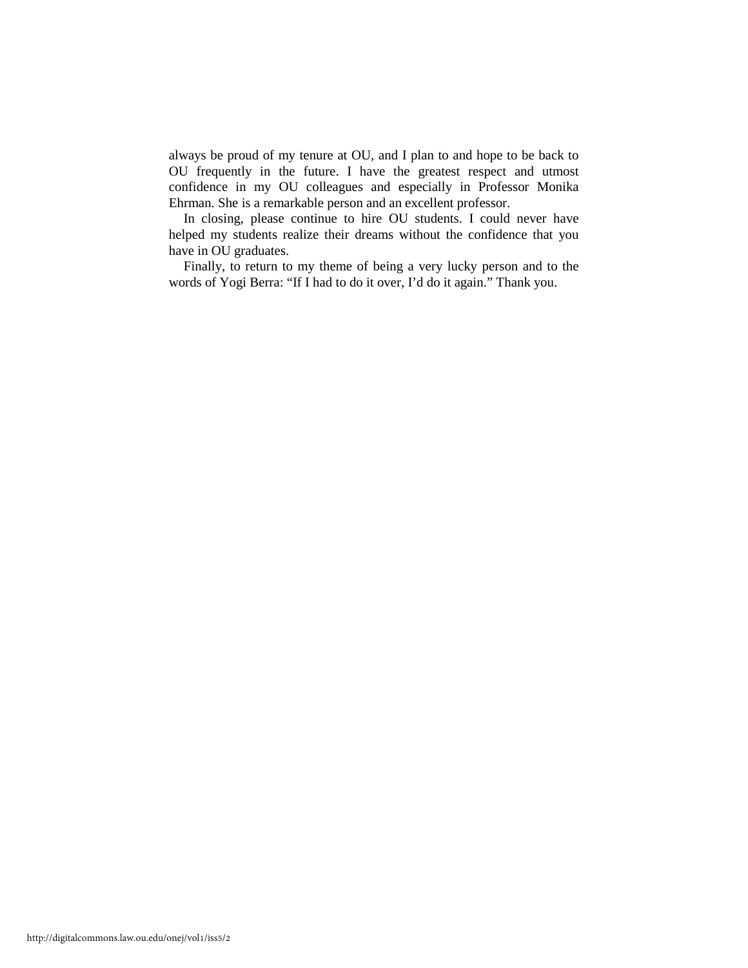always be proud of my tenure at OU, and I plan to and hope to be back to OU frequently in the future. I have the greatest respect and utmost confidence in my OU colleagues and especially in Professor Monika Ehrman. She is a remarkable person and an excellent professor.

In closing, please continue to hire OU students. I could never have helped my students realize their dreams without the confidence that you have in OU graduates.

Finally, to return to my theme of being a very lucky person and to the words of Yogi Berra: "If I had to do it over, I'd do it again." Thank you.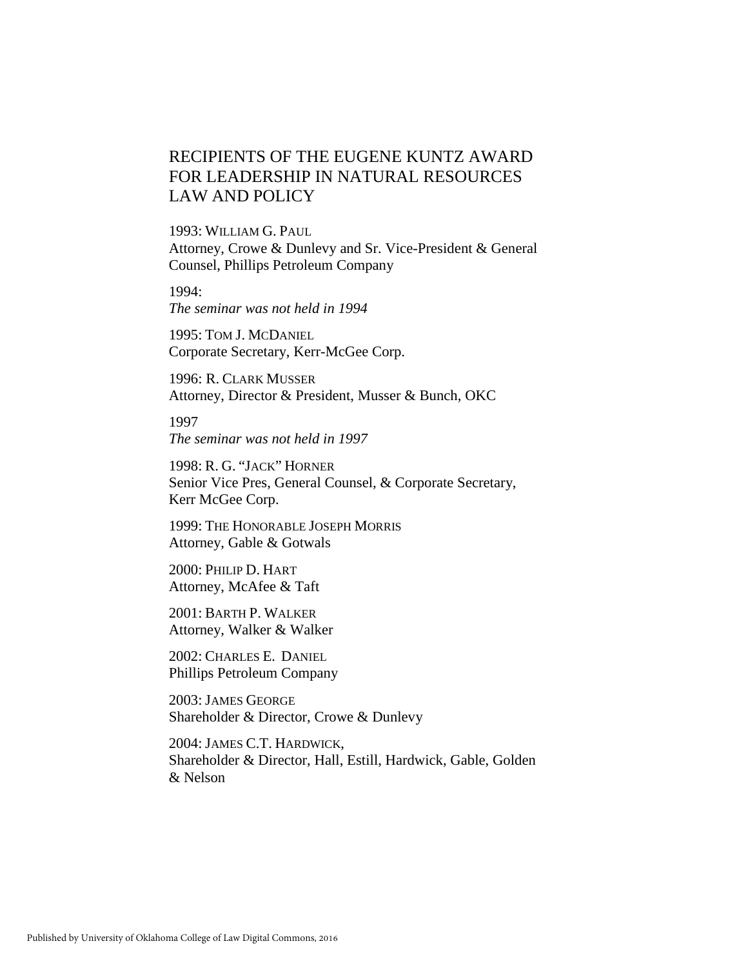## RECIPIENTS OF THE EUGENE KUNTZ AWARD FOR LEADERSHIP IN NATURAL RESOURCES LAW AND POLICY

1993: WILLIAM G. PAUL Attorney, Crowe & Dunlevy and Sr. Vice-President & General Counsel, Phillips Petroleum Company

1994:

*The seminar was not held in 1994*

1995: TOM J. MCDANIEL Corporate Secretary, Kerr-McGee Corp.

1996: R. CLARK MUSSER Attorney, Director & President, Musser & Bunch, OKC

1997 *The seminar was not held in 1997* 

1998: R. G. "JACK" HORNER Senior Vice Pres, General Counsel, & Corporate Secretary, Kerr McGee Corp.

1999: THE HONORABLE JOSEPH MORRIS Attorney, Gable & Gotwals

2000: PHILIP D. HART Attorney, McAfee & Taft

2001: BARTH P. WALKER Attorney, Walker & Walker

2002: CHARLES E. DANIEL Phillips Petroleum Company

2003: JAMES GEORGE Shareholder & Director, Crowe & Dunlevy

2004: JAMES C.T. HARDWICK, Shareholder & Director, Hall, Estill, Hardwick, Gable, Golden & Nelson